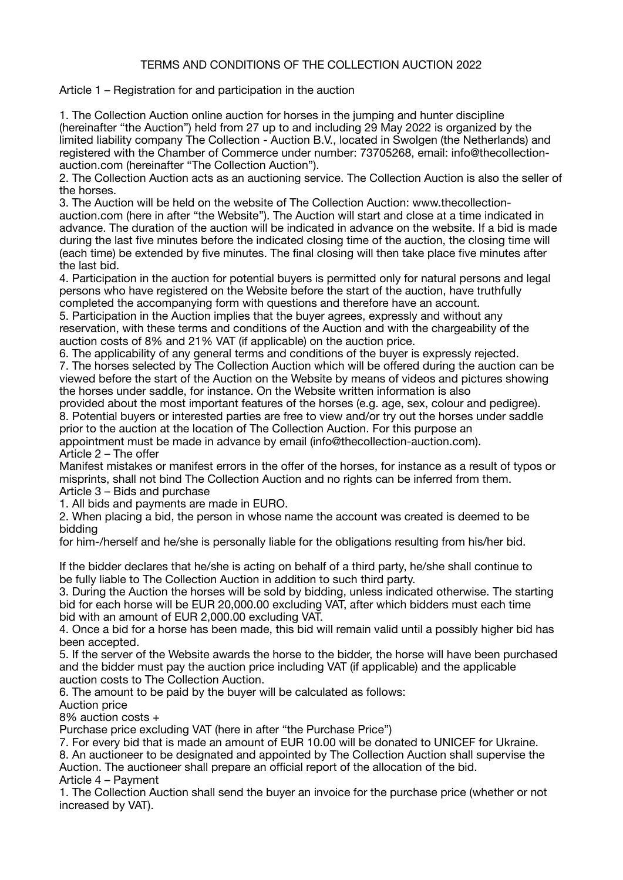## TERMS AND CONDITIONS OF THE COLLECTION AUCTION 2022

Article 1 – Registration for and participation in the auction

1. The Collection Auction online auction for horses in the jumping and hunter discipline (hereinafter "the Auction") held from 27 up to and including 29 May 2022 is organized by the limited liability company The Collection - Auction B.V., located in Swolgen (the Netherlands) and registered with the Chamber of Commerce under number: 73705268, email: info@thecollectionauction.com (hereinafter "The Collection Auction").

2. The Collection Auction acts as an auctioning service. The Collection Auction is also the seller of the horses.

3. The Auction will be held on the website of The Collection Auction: www.thecollectionauction.com (here in after "the Website"). The Auction will start and close at a time indicated in advance. The duration of the auction will be indicated in advance on the website. If a bid is made during the last five minutes before the indicated closing time of the auction, the closing time will (each time) be extended by five minutes. The final closing will then take place five minutes after the last bid.

4. Participation in the auction for potential buyers is permitted only for natural persons and legal persons who have registered on the Website before the start of the auction, have truthfully completed the accompanying form with questions and therefore have an account.

5. Participation in the Auction implies that the buyer agrees, expressly and without any reservation, with these terms and conditions of the Auction and with the chargeability of the auction costs of 8% and 21% VAT (if applicable) on the auction price.

6. The applicability of any general terms and conditions of the buyer is expressly rejected. 7. The horses selected by The Collection Auction which will be offered during the auction can be viewed before the start of the Auction on the Website by means of videos and pictures showing the horses under saddle, for instance. On the Website written information is also

provided about the most important features of the horses (e.g. age, sex, colour and pedigree). 8. Potential buyers or interested parties are free to view and/or try out the horses under saddle prior to the auction at the location of The Collection Auction. For this purpose an

appointment must be made in advance by email (info@thecollection-auction.com). Article 2 – The offer

Manifest mistakes or manifest errors in the offer of the horses, for instance as a result of typos or misprints, shall not bind The Collection Auction and no rights can be inferred from them. Article 3 – Bids and purchase

1. All bids and payments are made in EURO.

2. When placing a bid, the person in whose name the account was created is deemed to be bidding

for him-/herself and he/she is personally liable for the obligations resulting from his/her bid.

If the bidder declares that he/she is acting on behalf of a third party, he/she shall continue to be fully liable to The Collection Auction in addition to such third party.

3. During the Auction the horses will be sold by bidding, unless indicated otherwise. The starting bid for each horse will be EUR 20,000.00 excluding VAT, after which bidders must each time bid with an amount of EUR 2,000.00 excluding VAT.

4. Once a bid for a horse has been made, this bid will remain valid until a possibly higher bid has been accepted.

5. If the server of the Website awards the horse to the bidder, the horse will have been purchased and the bidder must pay the auction price including VAT (if applicable) and the applicable auction costs to The Collection Auction.

6. The amount to be paid by the buyer will be calculated as follows:

Auction price

8% auction costs +

Purchase price excluding VAT (here in after "the Purchase Price")

7. For every bid that is made an amount of EUR 10.00 will be donated to UNICEF for Ukraine.

8. An auctioneer to be designated and appointed by The Collection Auction shall supervise the Auction. The auctioneer shall prepare an official report of the allocation of the bid.

Article 4 – Payment

1. The Collection Auction shall send the buyer an invoice for the purchase price (whether or not increased by VAT).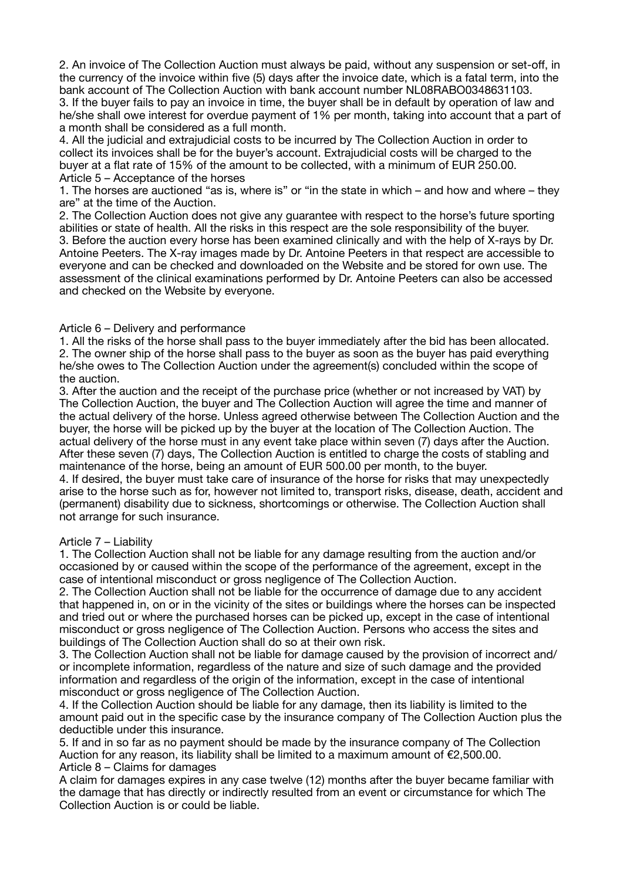2. An invoice of The Collection Auction must always be paid, without any suspension or set-off, in the currency of the invoice within five (5) days after the invoice date, which is a fatal term, into the bank account of The Collection Auction with bank account number NL08RABO0348631103. 3. If the buyer fails to pay an invoice in time, the buyer shall be in default by operation of law and he/she shall owe interest for overdue payment of 1% per month, taking into account that a part of a month shall be considered as a full month.

4. All the judicial and extrajudicial costs to be incurred by The Collection Auction in order to collect its invoices shall be for the buyer's account. Extrajudicial costs will be charged to the buyer at a flat rate of 15% of the amount to be collected, with a minimum of EUR 250.00. Article 5 – Acceptance of the horses

1. The horses are auctioned "as is, where is" or "in the state in which – and how and where – they are" at the time of the Auction.

2. The Collection Auction does not give any guarantee with respect to the horse's future sporting abilities or state of health. All the risks in this respect are the sole responsibility of the buyer. 3. Before the auction every horse has been examined clinically and with the help of X-rays by Dr. Antoine Peeters. The X-ray images made by Dr. Antoine Peeters in that respect are accessible to everyone and can be checked and downloaded on the Website and be stored for own use. The assessment of the clinical examinations performed by Dr. Antoine Peeters can also be accessed and checked on the Website by everyone.

## Article 6 – Delivery and performance

1. All the risks of the horse shall pass to the buyer immediately after the bid has been allocated. 2. The owner ship of the horse shall pass to the buyer as soon as the buyer has paid everything he/she owes to The Collection Auction under the agreement(s) concluded within the scope of the auction.

3. After the auction and the receipt of the purchase price (whether or not increased by VAT) by The Collection Auction, the buyer and The Collection Auction will agree the time and manner of the actual delivery of the horse. Unless agreed otherwise between The Collection Auction and the buyer, the horse will be picked up by the buyer at the location of The Collection Auction. The actual delivery of the horse must in any event take place within seven (7) days after the Auction. After these seven (7) days, The Collection Auction is entitled to charge the costs of stabling and maintenance of the horse, being an amount of EUR 500.00 per month, to the buyer.

4. If desired, the buyer must take care of insurance of the horse for risks that may unexpectedly arise to the horse such as for, however not limited to, transport risks, disease, death, accident and (permanent) disability due to sickness, shortcomings or otherwise. The Collection Auction shall not arrange for such insurance.

## Article 7 – Liability

1. The Collection Auction shall not be liable for any damage resulting from the auction and/or occasioned by or caused within the scope of the performance of the agreement, except in the case of intentional misconduct or gross negligence of The Collection Auction.

2. The Collection Auction shall not be liable for the occurrence of damage due to any accident that happened in, on or in the vicinity of the sites or buildings where the horses can be inspected and tried out or where the purchased horses can be picked up, except in the case of intentional misconduct or gross negligence of The Collection Auction. Persons who access the sites and buildings of The Collection Auction shall do so at their own risk.

3. The Collection Auction shall not be liable for damage caused by the provision of incorrect and/ or incomplete information, regardless of the nature and size of such damage and the provided information and regardless of the origin of the information, except in the case of intentional misconduct or gross negligence of The Collection Auction.

4. If the Collection Auction should be liable for any damage, then its liability is limited to the amount paid out in the specific case by the insurance company of The Collection Auction plus the deductible under this insurance.

5. If and in so far as no payment should be made by the insurance company of The Collection Auction for any reason, its liability shall be limited to a maximum amount of  $E$ 2,500.00. Article 8 – Claims for damages

A claim for damages expires in any case twelve (12) months after the buyer became familiar with the damage that has directly or indirectly resulted from an event or circumstance for which The Collection Auction is or could be liable.